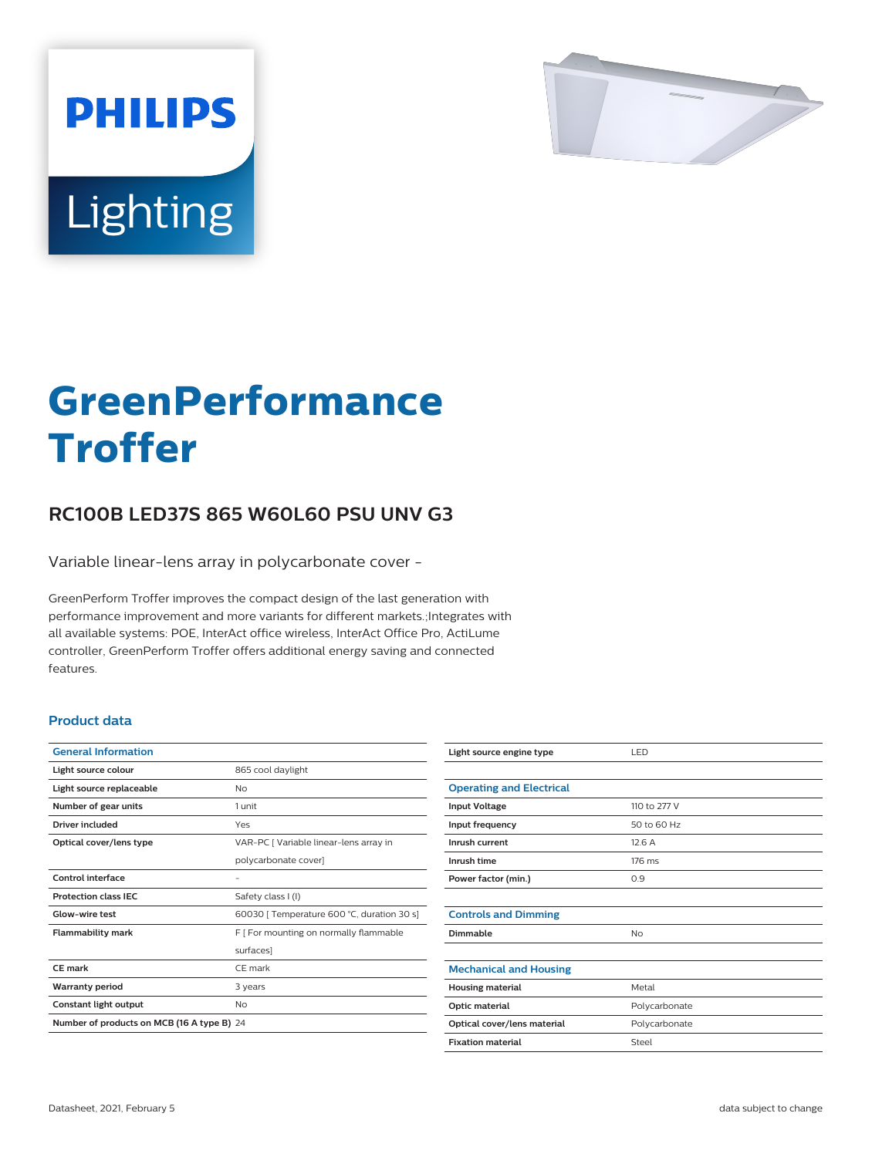

# Lighting

**PHILIPS** 

# **GreenPerformance Troffer**

## **RC100B LED37S 865 W60L60 PSU UNV G3**

Variable linear-lens array in polycarbonate cover -

GreenPerform Troffer improves the compact design of the last generation with performance improvement and more variants for different markets.;Integrates with all available systems: POE, InterAct office wireless, InterAct Office Pro, ActiLume controller, GreenPerform Troffer offers additional energy saving and connected features.

#### **Product data**

| <b>General Information</b>                 |                                            |
|--------------------------------------------|--------------------------------------------|
| Light source colour                        | 865 cool daylight                          |
| Light source replaceable                   | <b>No</b>                                  |
| Number of gear units                       | 1 unit                                     |
| Driver included                            | Yes                                        |
| Optical cover/lens type                    | VAR-PC [ Variable linear-lens array in     |
|                                            | polycarbonate cover]                       |
| Control interface                          |                                            |
| <b>Protection class IEC</b>                | Safety class I (I)                         |
| Glow-wire test                             | 60030   Temperature 600 °C, duration 30 s] |
| <b>Flammability mark</b>                   | F [ For mounting on normally flammable     |
|                                            | surfaces]                                  |
| CF mark                                    | CF mark                                    |
| <b>Warranty period</b>                     | 3 years                                    |
| Constant light output                      | No                                         |
| Number of products on MCB (16 A type B) 24 |                                            |

| Light source engine type        | LED           |
|---------------------------------|---------------|
|                                 |               |
| <b>Operating and Electrical</b> |               |
| <b>Input Voltage</b>            | 110 to 277 V  |
| Input frequency                 | 50 to 60 Hz   |
| Inrush current                  | 12.6A         |
| Inrush time                     | 176 ms        |
| Power factor (min.)             | 0.9           |
|                                 |               |
| <b>Controls and Dimming</b>     |               |
| Dimmable                        | No            |
|                                 |               |
| <b>Mechanical and Housing</b>   |               |
| <b>Housing material</b>         | Metal         |
| Optic material                  | Polycarbonate |
| Optical cover/lens material     | Polycarbonate |
| <b>Fixation material</b>        | Steel         |
|                                 |               |